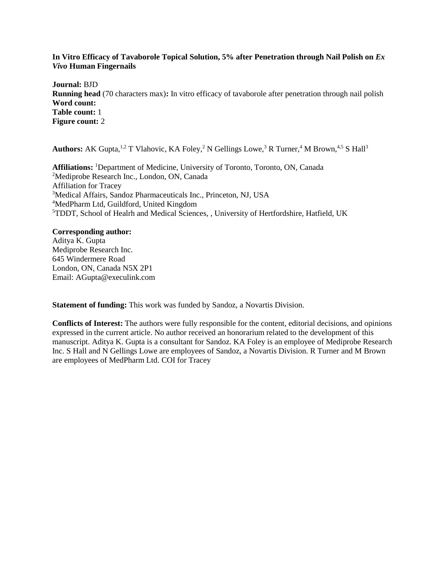# **In Vitro Efficacy of Tavaborole Topical Solution, 5% after Penetration through Nail Polish on** *Ex Vivo* **Human Fingernails**

**Journal:** BJD **Running head** (70 characters max)**:** In vitro efficacy of tavaborole after penetration through nail polish **Word count: Table count:** 1 **Figure count:** 2

Authors: AK Gupta,<sup>1,2</sup> T Vlahovic, KA Foley,<sup>2</sup> N Gellings Lowe,<sup>3</sup> R Turner,<sup>4</sup> M Brown,<sup>4,5</sup> S Hall<sup>3</sup>

**Affiliations:** <sup>1</sup>Department of Medicine, University of Toronto, Toronto, ON, Canada Mediprobe Research Inc., London, ON, Canada Affiliation for Tracey Medical Affairs, Sandoz Pharmaceuticals Inc., Princeton, NJ, USA MedPharm Ltd, Guildford, United Kingdom TDDT, School of Healrh and Medical Sciences, , University of Hertfordshire, Hatfield, UK

## **Corresponding author:**

Aditya K. Gupta Mediprobe Research Inc. 645 Windermere Road London, ON, Canada N5X 2P1 Email: AGupta@execulink.com

**Statement of funding:** This work was funded by Sandoz, a Novartis Division.

**Conflicts of Interest:** The authors were fully responsible for the content, editorial decisions, and opinions expressed in the current article. No author received an honorarium related to the development of this manuscript. Aditya K. Gupta is a consultant for Sandoz. KA Foley is an employee of Mediprobe Research Inc. S Hall and N Gellings Lowe are employees of Sandoz, a Novartis Division. R Turner and M Brown are employees of MedPharm Ltd. COI for Tracey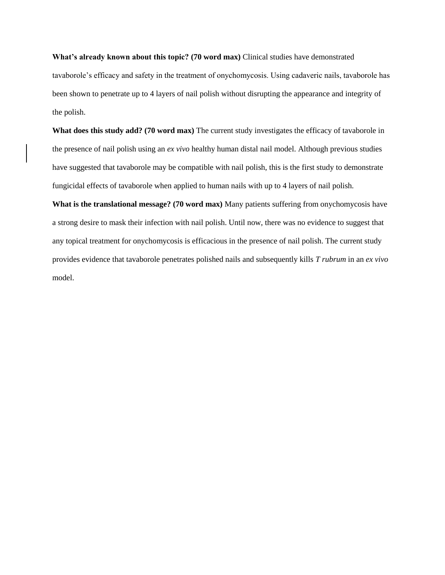**What's already known about this topic? (70 word max)** Clinical studies have demonstrated tavaborole's efficacy and safety in the treatment of onychomycosis. Using cadaveric nails, tavaborole has been shown to penetrate up to 4 layers of nail polish without disrupting the appearance and integrity of the polish.

**What does this study add? (70 word max)** The current study investigates the efficacy of tavaborole in the presence of nail polish using an *ex vivo* healthy human distal nail model. Although previous studies have suggested that tavaborole may be compatible with nail polish, this is the first study to demonstrate fungicidal effects of tavaborole when applied to human nails with up to 4 layers of nail polish.

**What is the translational message? (70 word max)** Many patients suffering from onychomycosis have a strong desire to mask their infection with nail polish. Until now, there was no evidence to suggest that any topical treatment for onychomycosis is efficacious in the presence of nail polish. The current study provides evidence that tavaborole penetrates polished nails and subsequently kills *T rubrum* in an *ex vivo* model.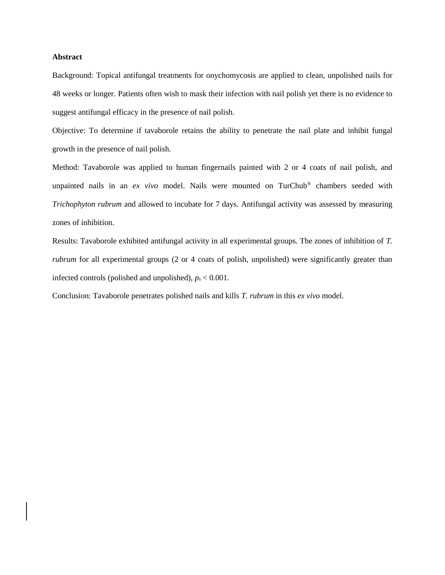## **Abstract**

Background: Topical antifungal treatments for onychomycosis are applied to clean, unpolished nails for 48 weeks or longer. Patients often wish to mask their infection with nail polish yet there is no evidence to suggest antifungal efficacy in the presence of nail polish.

Objective: To determine if tavaborole retains the ability to penetrate the nail plate and inhibit fungal growth in the presence of nail polish.

Method: Tavaborole was applied to human fingernails painted with 2 or 4 coats of nail polish, and unpainted nails in an *ex vivo* model. Nails were mounted on TurChub® chambers seeded with *Trichophyton rubrum* and allowed to incubate for 7 days. Antifungal activity was assessed by measuring zones of inhibition.

Results: Tavaborole exhibited antifungal activity in all experimental groups. The zones of inhibition of *T. rubrum* for all experimental groups (2 or 4 coats of polish, unpolished) were significantly greater than infected controls (polished and unpolished),  $p_s < 0.001$ .

Conclusion: Tavaborole penetrates polished nails and kills *T. rubrum* in this *ex vivo* model.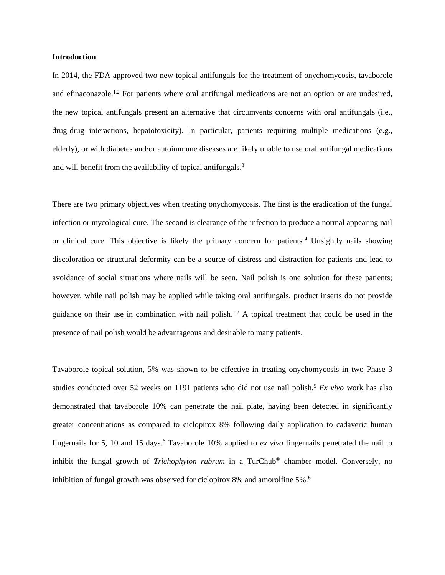#### **Introduction**

In 2014, the FDA approved two new topical antifungals for the treatment of onychomycosis, tavaborole and efinaconazole.<sup>1,2</sup> For patients where oral antifungal medications are not an option or are undesired, the new topical antifungals present an alternative that circumvents concerns with oral antifungals (i.e., drug-drug interactions, hepatotoxicity). In particular, patients requiring multiple medications (e.g., elderly), or with diabetes and/or autoimmune diseases are likely unable to use oral antifungal medications and will benefit from the availability of topical antifungals.<sup>3</sup>

There are two primary objectives when treating onychomycosis. The first is the eradication of the fungal infection or mycological cure. The second is clearance of the infection to produce a normal appearing nail or clinical cure. This objective is likely the primary concern for patients.<sup>4</sup> Unsightly nails showing discoloration or structural deformity can be a source of distress and distraction for patients and lead to avoidance of social situations where nails will be seen. Nail polish is one solution for these patients; however, while nail polish may be applied while taking oral antifungals, product inserts do not provide guidance on their use in combination with nail polish.<sup>1,2</sup> A topical treatment that could be used in the presence of nail polish would be advantageous and desirable to many patients.

Tavaborole topical solution, 5% was shown to be effective in treating onychomycosis in two Phase 3 studies conducted over 52 weeks on 1191 patients who did not use nail polish.<sup>5</sup> *Ex vivo* work has also demonstrated that tavaborole 10% can penetrate the nail plate, having been detected in significantly greater concentrations as compared to ciclopirox 8% following daily application to cadaveric human fingernails for 5, 10 and 15 days.<sup>6</sup> Tavaborole 10% applied to *ex vivo* fingernails penetrated the nail to inhibit the fungal growth of *Trichophyton rubrum* in a TurChub® chamber model. Conversely, no inhibition of fungal growth was observed for ciclopirox 8% and amorolfine 5%.<sup>6</sup>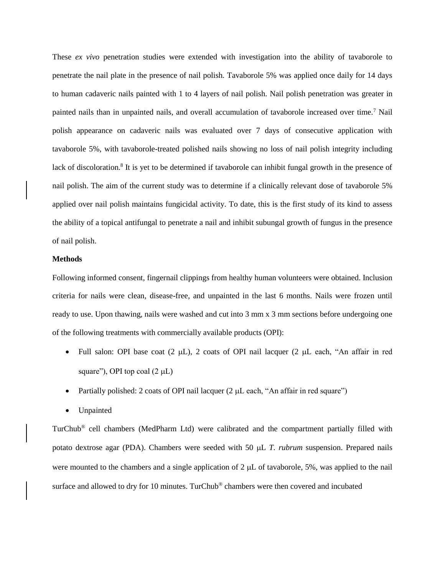These *ex vivo* penetration studies were extended with investigation into the ability of tavaborole to penetrate the nail plate in the presence of nail polish. Tavaborole 5% was applied once daily for 14 days to human cadaveric nails painted with 1 to 4 layers of nail polish. Nail polish penetration was greater in painted nails than in unpainted nails, and overall accumulation of tavaborole increased over time.<sup>7</sup> Nail polish appearance on cadaveric nails was evaluated over 7 days of consecutive application with tavaborole 5%, with tavaborole-treated polished nails showing no loss of nail polish integrity including lack of discoloration.<sup>8</sup> It is yet to be determined if tavaborole can inhibit fungal growth in the presence of nail polish. The aim of the current study was to determine if a clinically relevant dose of tavaborole 5% applied over nail polish maintains fungicidal activity. To date, this is the first study of its kind to assess the ability of a topical antifungal to penetrate a nail and inhibit subungal growth of fungus in the presence of nail polish.

## **Methods**

Following informed consent, fingernail clippings from healthy human volunteers were obtained. Inclusion criteria for nails were clean, disease-free, and unpainted in the last 6 months. Nails were frozen until ready to use. Upon thawing, nails were washed and cut into 3 mm x 3 mm sections before undergoing one of the following treatments with commercially available products (OPI):

- Full salon: OPI base coat  $(2 \mu L)$ , 2 coats of OPI nail lacquer  $(2 \mu L)$  each, "An affair in red square"), OPI top coal  $(2 \mu L)$
- Partially polished: 2 coats of OPI nail lacquer  $(2 \mu L \cdot \text{each}, \text{``An affair in red square''})$
- Unpainted

TurChub® cell chambers (MedPharm Ltd) were calibrated and the compartment partially filled with potato dextrose agar (PDA). Chambers were seeded with 50  $\mu$ L *T. rubrum* suspension. Prepared nails were mounted to the chambers and a single application of  $2 \mu L$  of tavaborole, 5%, was applied to the nail surface and allowed to dry for 10 minutes. TurChub® chambers were then covered and incubated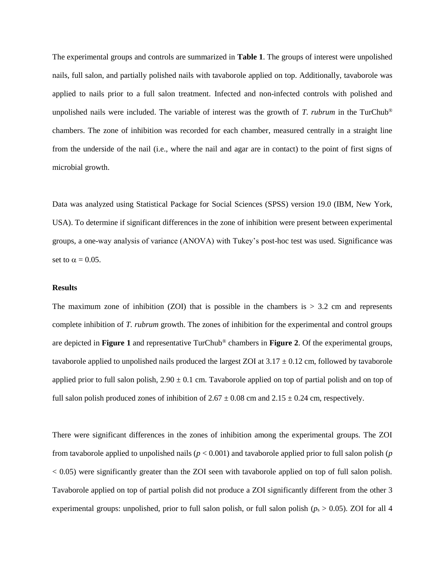The experimental groups and controls are summarized in **Table 1**. The groups of interest were unpolished nails, full salon, and partially polished nails with tavaborole applied on top. Additionally, tavaborole was applied to nails prior to a full salon treatment. Infected and non-infected controls with polished and unpolished nails were included. The variable of interest was the growth of *T. rubrum* in the TurChub® chambers. The zone of inhibition was recorded for each chamber, measured centrally in a straight line from the underside of the nail (i.e., where the nail and agar are in contact) to the point of first signs of microbial growth.

Data was analyzed using Statistical Package for Social Sciences (SPSS) version 19.0 (IBM, New York, USA). To determine if significant differences in the zone of inhibition were present between experimental groups, a one-way analysis of variance (ANOVA) with Tukey's post-hoc test was used. Significance was set to  $\alpha = 0.05$ .

### **Results**

The maximum zone of inhibition (ZOI) that is possible in the chambers is  $> 3.2$  cm and represents complete inhibition of *T. rubrum* growth. The zones of inhibition for the experimental and control groups are depicted in **Figure 1** and representative TurChub® chambers in **Figure 2**. Of the experimental groups, tavaborole applied to unpolished nails produced the largest ZOI at  $3.17 \pm 0.12$  cm, followed by tavaborole applied prior to full salon polish,  $2.90 \pm 0.1$  cm. Tavaborole applied on top of partial polish and on top of full salon polish produced zones of inhibition of  $2.67 \pm 0.08$  cm and  $2.15 \pm 0.24$  cm, respectively.

There were significant differences in the zones of inhibition among the experimental groups. The ZOI from tavaborole applied to unpolished nails (*p* < 0.001) and tavaborole applied prior to full salon polish (*p* < 0.05) were significantly greater than the ZOI seen with tavaborole applied on top of full salon polish. Tavaborole applied on top of partial polish did not produce a ZOI significantly different from the other 3 experimental groups: unpolished, prior to full salon polish, or full salon polish ( $p_s > 0.05$ ). ZOI for all 4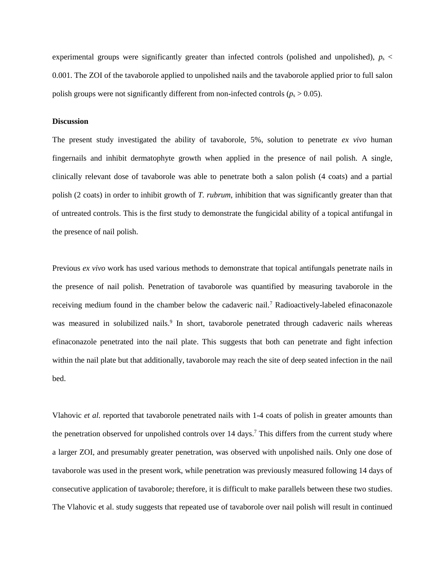experimental groups were significantly greater than infected controls (polished and unpolished),  $p_s$ 0.001. The ZOI of the tavaborole applied to unpolished nails and the tavaborole applied prior to full salon polish groups were not significantly different from non-infected controls ( $p_s$  > 0.05).

# **Discussion**

The present study investigated the ability of tavaborole, 5%, solution to penetrate *ex vivo* human fingernails and inhibit dermatophyte growth when applied in the presence of nail polish. A single, clinically relevant dose of tavaborole was able to penetrate both a salon polish (4 coats) and a partial polish (2 coats) in order to inhibit growth of *T. rubrum*, inhibition that was significantly greater than that of untreated controls. This is the first study to demonstrate the fungicidal ability of a topical antifungal in the presence of nail polish.

Previous *ex vivo* work has used various methods to demonstrate that topical antifungals penetrate nails in the presence of nail polish. Penetration of tavaborole was quantified by measuring tavaborole in the receiving medium found in the chamber below the cadaveric nail.<sup>7</sup> Radioactively-labeled efinaconazole was measured in solubilized nails.<sup>9</sup> In short, tavaborole penetrated through cadaveric nails whereas efinaconazole penetrated into the nail plate. This suggests that both can penetrate and fight infection within the nail plate but that additionally, tavaborole may reach the site of deep seated infection in the nail bed.

Vlahovic *et al.* reported that tavaborole penetrated nails with 1-4 coats of polish in greater amounts than the penetration observed for unpolished controls over 14 days.<sup>7</sup> This differs from the current study where a larger ZOI, and presumably greater penetration, was observed with unpolished nails. Only one dose of tavaborole was used in the present work, while penetration was previously measured following 14 days of consecutive application of tavaborole; therefore, it is difficult to make parallels between these two studies. The Vlahovic et al. study suggests that repeated use of tavaborole over nail polish will result in continued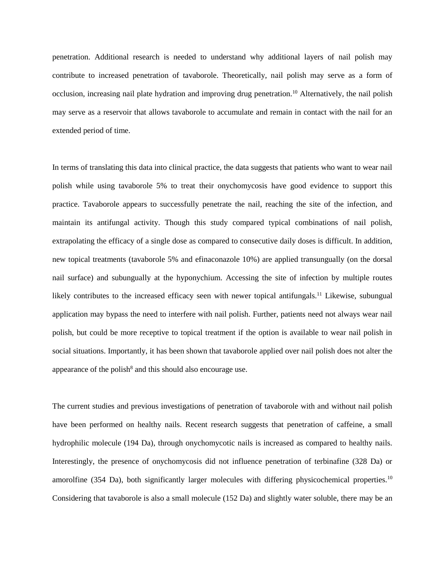penetration. Additional research is needed to understand why additional layers of nail polish may contribute to increased penetration of tavaborole. Theoretically, nail polish may serve as a form of occlusion, increasing nail plate hydration and improving drug penetration.<sup>10</sup> Alternatively, the nail polish may serve as a reservoir that allows tavaborole to accumulate and remain in contact with the nail for an extended period of time.

In terms of translating this data into clinical practice, the data suggests that patients who want to wear nail polish while using tavaborole 5% to treat their onychomycosis have good evidence to support this practice. Tavaborole appears to successfully penetrate the nail, reaching the site of the infection, and maintain its antifungal activity. Though this study compared typical combinations of nail polish, extrapolating the efficacy of a single dose as compared to consecutive daily doses is difficult. In addition, new topical treatments (tavaborole 5% and efinaconazole 10%) are applied transungually (on the dorsal nail surface) and subungually at the hyponychium. Accessing the site of infection by multiple routes likely contributes to the increased efficacy seen with newer topical antifungals.<sup>11</sup> Likewise, subungual application may bypass the need to interfere with nail polish. Further, patients need not always wear nail polish, but could be more receptive to topical treatment if the option is available to wear nail polish in social situations. Importantly, it has been shown that tavaborole applied over nail polish does not alter the appearance of the polish $^8$  and this should also encourage use.

The current studies and previous investigations of penetration of tavaborole with and without nail polish have been performed on healthy nails. Recent research suggests that penetration of caffeine, a small hydrophilic molecule (194 Da), through onychomycotic nails is increased as compared to healthy nails. Interestingly, the presence of onychomycosis did not influence penetration of terbinafine (328 Da) or amorolfine (354 Da), both significantly larger molecules with differing physicochemical properties.<sup>10</sup> Considering that tavaborole is also a small molecule (152 Da) and slightly water soluble, there may be an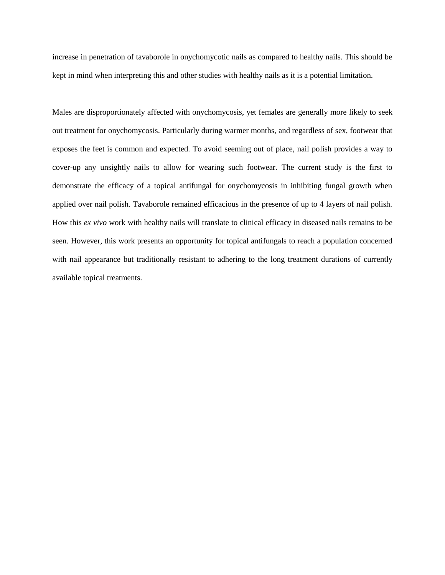increase in penetration of tavaborole in onychomycotic nails as compared to healthy nails. This should be kept in mind when interpreting this and other studies with healthy nails as it is a potential limitation.

Males are disproportionately affected with onychomycosis, yet females are generally more likely to seek out treatment for onychomycosis. Particularly during warmer months, and regardless of sex, footwear that exposes the feet is common and expected. To avoid seeming out of place, nail polish provides a way to cover-up any unsightly nails to allow for wearing such footwear. The current study is the first to demonstrate the efficacy of a topical antifungal for onychomycosis in inhibiting fungal growth when applied over nail polish. Tavaborole remained efficacious in the presence of up to 4 layers of nail polish. How this *ex vivo* work with healthy nails will translate to clinical efficacy in diseased nails remains to be seen. However, this work presents an opportunity for topical antifungals to reach a population concerned with nail appearance but traditionally resistant to adhering to the long treatment durations of currently available topical treatments.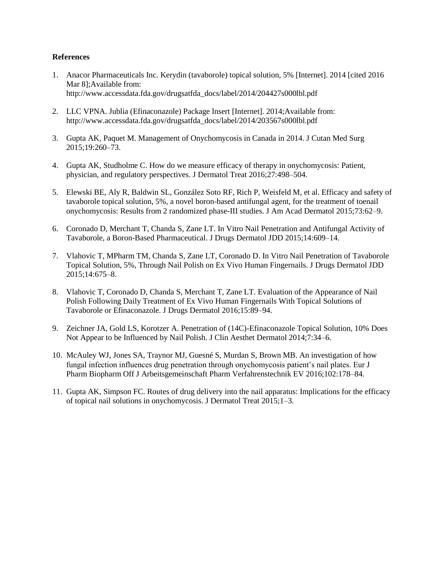# **References**

- 1. Anacor Pharmaceuticals Inc. Kerydin (tavaborole) topical solution, 5% [Internet]. 2014 [cited 2016 Mar 8];Available from: http://www.accessdata.fda.gov/drugsatfda\_docs/label/2014/204427s000lbl.pdf
- 2. LLC VPNA. Jublia (Efinaconazole) Package Insert [Internet]. 2014;Available from: http://www.accessdata.fda.gov/drugsatfda\_docs/label/2014/203567s000lbl.pdf
- 3. Gupta AK, Paquet M. Management of Onychomycosis in Canada in 2014. J Cutan Med Surg 2015;19:260–73.
- 4. Gupta AK, Studholme C. How do we measure efficacy of therapy in onychomycosis: Patient, physician, and regulatory perspectives. J Dermatol Treat 2016;27:498–504.
- 5. Elewski BE, Aly R, Baldwin SL, González Soto RF, Rich P, Weisfeld M, et al. Efficacy and safety of tavaborole topical solution, 5%, a novel boron-based antifungal agent, for the treatment of toenail onychomycosis: Results from 2 randomized phase-III studies. J Am Acad Dermatol 2015;73:62–9.
- 6. Coronado D, Merchant T, Chanda S, Zane LT. In Vitro Nail Penetration and Antifungal Activity of Tavaborole, a Boron-Based Pharmaceutical. J Drugs Dermatol JDD 2015;14:609–14.
- 7. Vlahovic T, MPharm TM, Chanda S, Zane LT, Coronado D. In Vitro Nail Penetration of Tavaborole Topical Solution, 5%, Through Nail Polish on Ex Vivo Human Fingernails. J Drugs Dermatol JDD 2015;14:675–8.
- 8. Vlahovic T, Coronado D, Chanda S, Merchant T, Zane LT. Evaluation of the Appearance of Nail Polish Following Daily Treatment of Ex Vivo Human Fingernails With Topical Solutions of Tavaborole or Efinaconazole. J Drugs Dermatol 2016;15:89–94.
- 9. Zeichner JA, Gold LS, Korotzer A. Penetration of (14C)-Efinaconazole Topical Solution, 10% Does Not Appear to be Influenced by Nail Polish. J Clin Aesthet Dermatol 2014;7:34–6.
- 10. McAuley WJ, Jones SA, Traynor MJ, Guesné S, Murdan S, Brown MB. An investigation of how fungal infection influences drug penetration through onychomycosis patient's nail plates. Eur J Pharm Biopharm Off J Arbeitsgemeinschaft Pharm Verfahrenstechnik EV 2016;102:178–84.
- 11. Gupta AK, Simpson FC. Routes of drug delivery into the nail apparatus: Implications for the efficacy of topical nail solutions in onychomycosis. J Dermatol Treat 2015;1–3.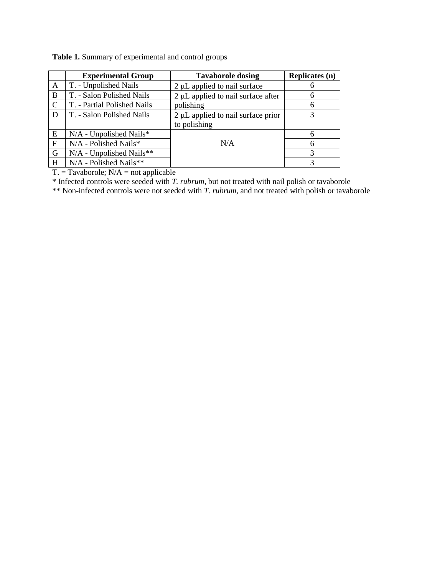|             | <b>Experimental Group</b>   | <b>Tavaborole dosing</b>           | <b>Replicates (n)</b> |
|-------------|-----------------------------|------------------------------------|-----------------------|
| A           | T. - Unpolished Nails       | 2 µL applied to nail surface       |                       |
| B           | T. - Salon Polished Nails   | 2 µL applied to nail surface after | 6                     |
| $\mathbf C$ | T. - Partial Polished Nails | polishing                          | 6                     |
| D           | T. - Salon Polished Nails   | 2 µL applied to nail surface prior | 3                     |
|             |                             | to polishing                       |                       |
| E           | N/A - Unpolished Nails*     |                                    | 6                     |
| $\mathbf F$ | N/A - Polished Nails*       | N/A                                |                       |
| G           | N/A - Unpolished Nails**    |                                    |                       |
| H           | N/A - Polished Nails**      |                                    |                       |

**Table 1.** Summary of experimental and control groups

 $T = Tavaborole$ ;  $N/A = not applicable$ 

\* Infected controls were seeded with *T. rubrum*, but not treated with nail polish or tavaborole

\*\* Non-infected controls were not seeded with *T. rubrum,* and not treated with polish or tavaborole